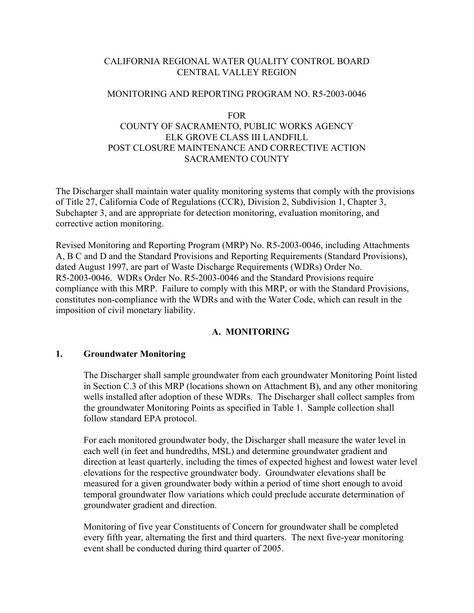# CALIFORNIA REGIONAL WATER QUALITY CONTROL BOARD CENTRAL VALLEY REGION

#### MONITORING AND REPORTING PROGRAM NO. R5-2003-0046

#### FOR

# COUNTY OF SACRAMENTO, PUBLIC WORKS AGENCY ELK GROVE CLASS III LANDFILL POST CLOSURE MAINTENANCE AND CORRECTIVE ACTION SACRAMENTO COUNTY

The Discharger shall maintain water quality monitoring systems that comply with the provisions of Title 27, California Code of Regulations (CCR), Division 2, Subdivision 1, Chapter 3, Subchapter 3, and are appropriate for detection monitoring, evaluation monitoring, and corrective action monitoring.

Revised Monitoring and Reporting Program (MRP) No. R5-2003-0046, including Attachments A, B C and D and the Standard Provisions and Reporting Requirements (Standard Provisions), dated August 1997, are part of Waste Discharge Requirements (WDRs) Order No. R5-2003-0046. WDRs Order No. R5-2003-0046 and the Standard Provisions require compliance with this MRP. Failure to comply with this MRP, or with the Standard Provisions, constitutes non-compliance with the WDRs and with the Water Code, which can result in the imposition of civil monetary liability.

## **A. MONITORING**

#### **1. Groundwater Monitoring**

The Discharger shall sample groundwater from each groundwater Monitoring Point listed in Section C.3 of this MRP (locations shown on Attachment B), and any other monitoring wells installed after adoption of these WDRs. The Discharger shall collect samples from the groundwater Monitoring Points as specified in Table 1. Sample collection shall follow standard EPA protocol.

For each monitored groundwater body, the Discharger shall measure the water level in each well (in feet and hundredths, MSL) and determine groundwater gradient and direction at least quarterly, including the times of expected highest and lowest water level elevations for the respective groundwater body. Groundwater elevations shall be measured for a given groundwater body within a period of time short enough to avoid temporal groundwater flow variations which could preclude accurate determination of groundwater gradient and direction.

Monitoring of five year Constituents of Concern for groundwater shall be completed every fifth year, alternating the first and third quarters. The next five-year monitoring event shall be conducted during third quarter of 2005.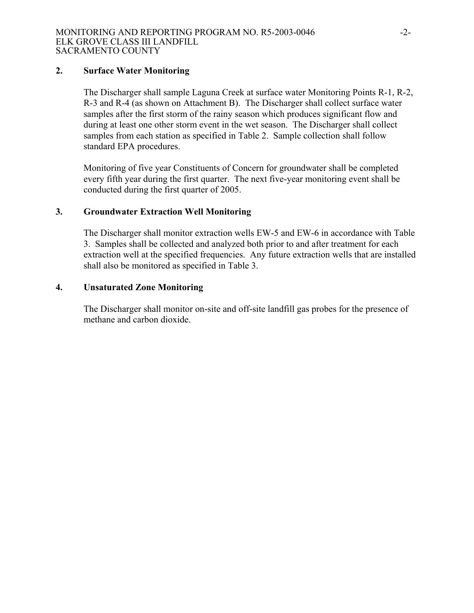#### **2. Surface Water Monitoring**

The Discharger shall sample Laguna Creek at surface water Monitoring Points R-1, R-2, R-3 and R-4 (as shown on Attachment B). The Discharger shall collect surface water samples after the first storm of the rainy season which produces significant flow and during at least one other storm event in the wet season. The Discharger shall collect samples from each station as specified in Table 2. Sample collection shall follow standard EPA procedures.

Monitoring of five year Constituents of Concern for groundwater shall be completed every fifth year during the first quarter. The next five-year monitoring event shall be conducted during the first quarter of 2005.

#### **3. Groundwater Extraction Well Monitoring**

The Discharger shall monitor extraction wells EW-5 and EW-6 in accordance with Table 3. Samples shall be collected and analyzed both prior to and after treatment for each extraction well at the specified frequencies. Any future extraction wells that are installed shall also be monitored as specified in Table 3.

#### **4. Unsaturated Zone Monitoring**

 The Discharger shall monitor on-site and off-site landfill gas probes for the presence of methane and carbon dioxide.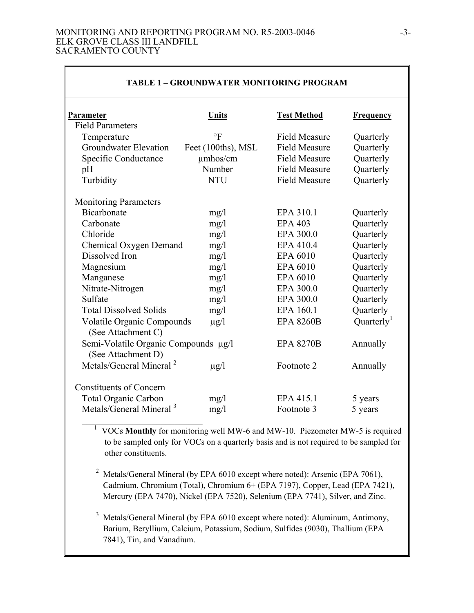#### MONITORING AND REPORTING PROGRAM NO. R5-2003-0046 -3- ELK GROVE CLASS III LANDFILL SACRAMENTO COUNTY

| TABLE 1 – GROUNDWATER MONITORING PROGRAM                   |                    |                      |                        |
|------------------------------------------------------------|--------------------|----------------------|------------------------|
| Parameter                                                  | Units              | <b>Test Method</b>   | <b>Frequency</b>       |
| <b>Field Parameters</b>                                    |                    |                      |                        |
| Temperature                                                | $\circ$ F          | <b>Field Measure</b> | Quarterly              |
| <b>Groundwater Elevation</b>                               | Feet (100ths), MSL | <b>Field Measure</b> | Quarterly              |
| Specific Conductance                                       | umhos/cm           | <b>Field Measure</b> | Quarterly              |
| pH                                                         | Number             | <b>Field Measure</b> | Quarterly              |
| Turbidity                                                  | <b>NTU</b>         | <b>Field Measure</b> | Quarterly              |
| <b>Monitoring Parameters</b>                               |                    |                      |                        |
| <b>Bicarbonate</b>                                         | mg/1               | EPA 310.1            | Quarterly              |
| Carbonate                                                  | mg/1               | <b>EPA 403</b>       | Quarterly              |
| Chloride                                                   | mg/1               | EPA 300.0            | Quarterly              |
| Chemical Oxygen Demand                                     | mg/1               | EPA 410.4            | Quarterly              |
| Dissolved Iron                                             | mg/1               | EPA 6010             | Quarterly              |
| Magnesium                                                  | mg/1               | EPA 6010             | Quarterly              |
| Manganese                                                  | mg/1               | EPA 6010             | Quarterly              |
| Nitrate-Nitrogen                                           | mg/1               | EPA 300.0            | Quarterly              |
| Sulfate                                                    | mg/l               | EPA 300.0            | Quarterly              |
| <b>Total Dissolved Solids</b>                              | mg/1               | EPA 160.1            | Quarterly              |
| <b>Volatile Organic Compounds</b><br>(See Attachment C)    | $\mu$ g/l          | <b>EPA 8260B</b>     | Quarterly <sup>1</sup> |
| Semi-Volatile Organic Compounds µg/l<br>(See Attachment D) |                    | <b>EPA 8270B</b>     | Annually               |
| Metals/General Mineral <sup>2</sup>                        | $\mu$ g/l          | Footnote 2           | Annually               |
| <b>Constituents of Concern</b>                             |                    |                      |                        |
| <b>Total Organic Carbon</b>                                | mg/l               | EPA 415.1            | 5 years                |
| Metals/General Mineral <sup>3</sup>                        | mg/l               | Footnote 3           | 5 years                |

#### **TABLE 1 – GROUNDWATER MONITORING PROGRAM**

 \_\_\_\_\_\_\_\_\_\_\_\_\_\_\_\_\_\_\_\_\_\_\_\_\_\_ 1 VOCs **Monthly** for monitoring well MW-6 and MW-10. Piezometer MW-5 is required to be sampled only for VOCs on a quarterly basis and is not required to be sampled for other constituents.

<sup>2</sup> Metals/General Mineral (by EPA 6010 except where noted): Arsenic (EPA 7061), Cadmium, Chromium (Total), Chromium 6+ (EPA 7197), Copper, Lead (EPA 7421), Mercury (EPA 7470), Nickel (EPA 7520), Selenium (EPA 7741), Silver, and Zinc.

<sup>3</sup> Metals/General Mineral (by EPA 6010 except where noted): Aluminum, Antimony, Barium, Beryllium, Calcium, Potassium, Sodium, Sulfides (9030), Thallium (EPA 7841), Tin, and Vanadium.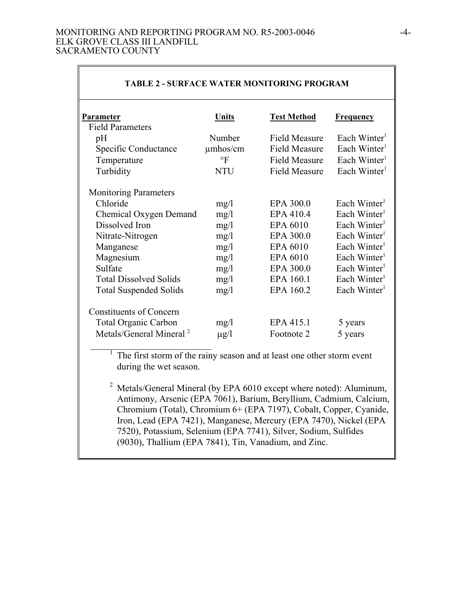#### MONITORING AND REPORTING PROGRAM NO. R5-2003-0046 -4- ELK GROVE CLASS III LANDFILL SACRAMENTO COUNTY

| <b>TABLE 2 - SURFACE WATER MONITORING PROGRAM</b> |               |                      |                          |  |
|---------------------------------------------------|---------------|----------------------|--------------------------|--|
| Parameter                                         | Units         | <b>Test Method</b>   | <b>Frequency</b>         |  |
| <b>Field Parameters</b>                           |               |                      |                          |  |
| pH                                                | Number        | <b>Field Measure</b> | Each Winter <sup>1</sup> |  |
| Specific Conductance                              | $\mu$ mhos/cm | <b>Field Measure</b> | Each Winter <sup>1</sup> |  |
| Temperature                                       | $\circ$ F     | <b>Field Measure</b> | Each Winter <sup>1</sup> |  |
| Turbidity                                         | <b>NTU</b>    | <b>Field Measure</b> | Each Winter <sup>1</sup> |  |
| <b>Monitoring Parameters</b>                      |               |                      |                          |  |
| Chloride                                          | mg/1          | EPA 300.0            | Each Winter <sup>1</sup> |  |
| <b>Chemical Oxygen Demand</b>                     | mg/l          | EPA 410.4            | Each Winter <sup>1</sup> |  |
| Dissolved Iron                                    | mg/1          | EPA 6010             | Each Winter <sup>1</sup> |  |
| Nitrate-Nitrogen                                  | mg/1          | EPA 300.0            | Each Winter <sup>1</sup> |  |
| Manganese                                         | mg/1          | EPA 6010             | Each Winter <sup>1</sup> |  |
| Magnesium                                         | mg/1          | EPA 6010             | Each Winter <sup>1</sup> |  |
| Sulfate                                           | mg/1          | EPA 300.0            | Each Winter <sup>1</sup> |  |
| <b>Total Dissolved Solids</b>                     | mg/1          | EPA 160.1            | Each Winter <sup>1</sup> |  |
| <b>Total Suspended Solids</b>                     | mg/l          | EPA 160.2            | Each Winter <sup>1</sup> |  |
| <b>Constituents of Concern</b>                    |               |                      |                          |  |
| <b>Total Organic Carbon</b>                       | mg/l          | EPA 415.1            | 5 years                  |  |
| Metals/General Mineral <sup>2</sup>               | $\mu$ g/l     | Footnote 2           | 5 years                  |  |

# The first storm of the rainy season and at least one other storm event during the wet season.

<sup>2</sup> Metals/General Mineral (by EPA  $6010$  except where noted): Aluminum, Antimony, Arsenic (EPA 7061), Barium, Beryllium, Cadmium, Calcium, Chromium (Total), Chromium 6+ (EPA 7197), Cobalt, Copper, Cyanide, Iron, Lead (EPA 7421), Manganese, Mercury (EPA 7470), Nickel (EPA 7520), Potassium, Selenium (EPA 7741), Silver, Sodium, Sulfides (9030), Thallium (EPA 7841), Tin, Vanadium, and Zinc.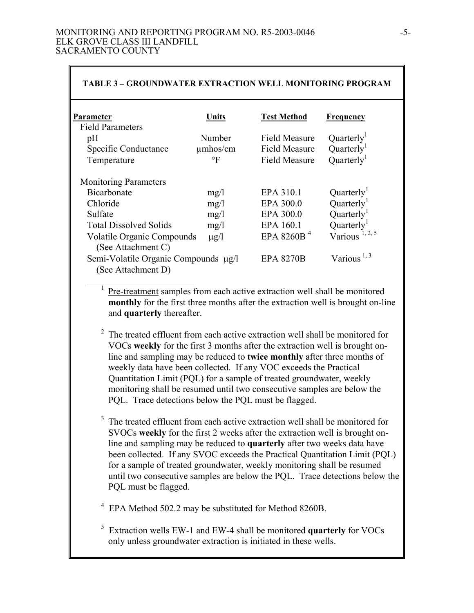| <b>TABLE 3 - GROUNDWATER EXTRACTION WELL MONITORING PROGRAM</b> |               |                      |                            |  |
|-----------------------------------------------------------------|---------------|----------------------|----------------------------|--|
| Parameter                                                       | Units         | <b>Test Method</b>   | <b>Frequency</b>           |  |
| <b>Field Parameters</b>                                         |               |                      |                            |  |
| pH                                                              | Number        | Field Measure        | Quarterly <sup>1</sup>     |  |
| Specific Conductance                                            | $\mu$ mhos/cm | <b>Field Measure</b> | Quarterly <sup>1</sup>     |  |
| Temperature                                                     | $\circ$ F     | <b>Field Measure</b> | Quarter <sup>1</sup>       |  |
| <b>Monitoring Parameters</b>                                    |               |                      |                            |  |
| Bicarbonate                                                     | mg/l          | EPA 310.1            | Quarterly                  |  |
| Chloride                                                        | mg/1          | EPA 300.0            | Quarterly <sup>1</sup>     |  |
| Sulfate                                                         | mg/1          | EPA 300.0            | Quarterly <sup>1</sup>     |  |
| <b>Total Dissolved Solids</b>                                   | mg/1          | EPA 160.1            | Quarterly <sup>1</sup>     |  |
| <b>Volatile Organic Compounds</b><br>(See Attachment C)         | $\mu$ g/l     | EPA 8260B $4$        | Various <sup>1, 2, 5</sup> |  |
| Semi-Volatile Organic Compounds µg/l<br>(See Attachment D)      |               | <b>EPA 8270B</b>     | Various <sup>1, 3</sup>    |  |

Pre-treatment samples from each active extraction well shall be monitored **monthly** for the first three months after the extraction well is brought on-line and **quarterly** thereafter.

- $2<sup>2</sup>$  The treated effluent from each active extraction well shall be monitored for VOCs **weekly** for the first 3 months after the extraction well is brought online and sampling may be reduced to **twice monthly** after three months of weekly data have been collected. If any VOC exceeds the Practical Quantitation Limit (PQL) for a sample of treated groundwater, weekly monitoring shall be resumed until two consecutive samples are below the PQL. Trace detections below the PQL must be flagged.
- The treated effluent from each active extraction well shall be monitored for SVOCs **weekly** for the first 2 weeks after the extraction well is brought online and sampling may be reduced to **quarterly** after two weeks data have been collected. If any SVOC exceeds the Practical Quantitation Limit (PQL) for a sample of treated groundwater, weekly monitoring shall be resumed until two consecutive samples are below the PQL. Trace detections below the PQL must be flagged.

<sup>4</sup> EPA Method 502.2 may be substituted for Method 8260B.

5 Extraction wells EW-1 and EW-4 shall be monitored **quarterly** for VOCs only unless groundwater extraction is initiated in these wells.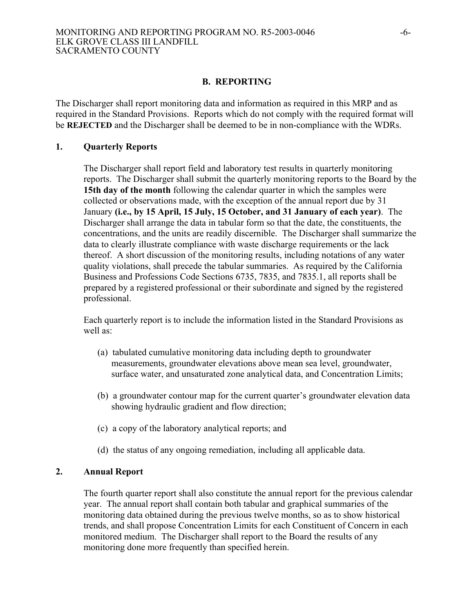#### **B. REPORTING**

The Discharger shall report monitoring data and information as required in this MRP and as required in the Standard Provisions. Reports which do not comply with the required format will be **REJECTED** and the Discharger shall be deemed to be in non-compliance with the WDRs.

#### **1. Quarterly Reports**

The Discharger shall report field and laboratory test results in quarterly monitoring reports. The Discharger shall submit the quarterly monitoring reports to the Board by the **15th day of the month** following the calendar quarter in which the samples were collected or observations made, with the exception of the annual report due by 31 January **(i.e., by 15 April, 15 July, 15 October, and 31 January of each year)**. The Discharger shall arrange the data in tabular form so that the date, the constituents, the concentrations, and the units are readily discernible. The Discharger shall summarize the data to clearly illustrate compliance with waste discharge requirements or the lack thereof. A short discussion of the monitoring results, including notations of any water quality violations, shall precede the tabular summaries. As required by the California Business and Professions Code Sections 6735, 7835, and 7835.1, all reports shall be prepared by a registered professional or their subordinate and signed by the registered professional.

Each quarterly report is to include the information listed in the Standard Provisions as well as:

- (a) tabulated cumulative monitoring data including depth to groundwater measurements, groundwater elevations above mean sea level, groundwater, surface water, and unsaturated zone analytical data, and Concentration Limits;
- (b) a groundwater contour map for the current quarter's groundwater elevation data showing hydraulic gradient and flow direction;
- (c) a copy of the laboratory analytical reports; and
- (d) the status of any ongoing remediation, including all applicable data.

#### **2. Annual Report**

The fourth quarter report shall also constitute the annual report for the previous calendar year. The annual report shall contain both tabular and graphical summaries of the monitoring data obtained during the previous twelve months, so as to show historical trends, and shall propose Concentration Limits for each Constituent of Concern in each monitored medium. The Discharger shall report to the Board the results of any monitoring done more frequently than specified herein.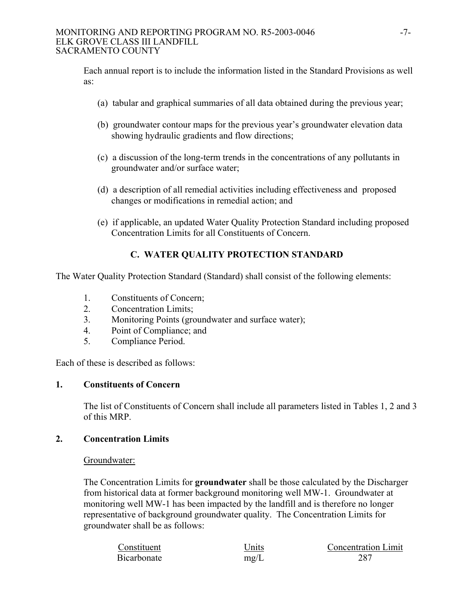#### MONITORING AND REPORTING PROGRAM NO. R5-2003-0046 -7- ELK GROVE CLASS III LANDFILL SACRAMENTO COUNTY

Each annual report is to include the information listed in the Standard Provisions as well as:

- (a) tabular and graphical summaries of all data obtained during the previous year;
- (b) groundwater contour maps for the previous year's groundwater elevation data showing hydraulic gradients and flow directions;
- (c) a discussion of the long-term trends in the concentrations of any pollutants in groundwater and/or surface water;
- (d) a description of all remedial activities including effectiveness and proposed changes or modifications in remedial action; and
- (e) if applicable, an updated Water Quality Protection Standard including proposed Concentration Limits for all Constituents of Concern.

# **C. WATER QUALITY PROTECTION STANDARD**

The Water Quality Protection Standard (Standard) shall consist of the following elements:

- 1. Constituents of Concern;
- 2. Concentration Limits;
- 3. Monitoring Points (groundwater and surface water);
- 4. Point of Compliance; and
- 5. Compliance Period.

Each of these is described as follows:

# **1. Constituents of Concern**

The list of Constituents of Concern shall include all parameters listed in Tables 1, 2 and 3 of this MRP.

# **2. Concentration Limits**

#### Groundwater:

The Concentration Limits for **groundwater** shall be those calculated by the Discharger from historical data at former background monitoring well MW-1. Groundwater at monitoring well MW-1 has been impacted by the landfill and is therefore no longer representative of background groundwater quality. The Concentration Limits for groundwater shall be as follows:

| Constituent | Units | <b>Concentration Limit</b> |
|-------------|-------|----------------------------|
| Bicarbonate | mg/L  | 287                        |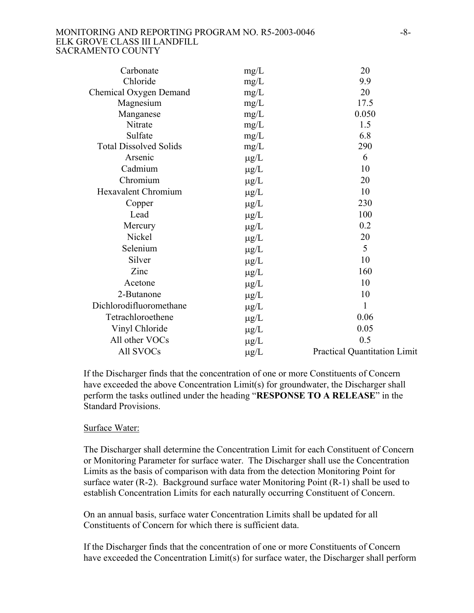#### MONITORING AND REPORTING PROGRAM NO. R5-2003-0046 -8-ELK GROVE CLASS III LANDFILL SACRAMENTO COUNTY

| Carbonate                     | mg/L      | 20                                  |
|-------------------------------|-----------|-------------------------------------|
| Chloride                      | mg/L      | 9.9                                 |
| Chemical Oxygen Demand        | mg/L      | 20                                  |
| Magnesium                     | mg/L      | 17.5                                |
| Manganese                     | mg/L      | 0.050                               |
| Nitrate                       | mg/L      | 1.5                                 |
| Sulfate                       | mg/L      | 6.8                                 |
| <b>Total Dissolved Solids</b> | mg/L      | 290                                 |
| Arsenic                       | $\mu$ g/L | 6                                   |
| Cadmium                       | $\mu$ g/L | 10                                  |
| Chromium                      | $\mu$ g/L | 20                                  |
| <b>Hexavalent Chromium</b>    | $\mu$ g/L | 10                                  |
| Copper                        | $\mu$ g/L | 230                                 |
| Lead                          | $\mu$ g/L | 100                                 |
| Mercury                       | $\mu$ g/L | 0.2                                 |
| Nickel                        | $\mu$ g/L | 20                                  |
| Selenium                      | $\mu$ g/L | 5                                   |
| Silver                        | $\mu$ g/L | 10                                  |
| Zinc                          | $\mu$ g/L | 160                                 |
| Acetone                       | $\mu$ g/L | 10                                  |
| 2-Butanone                    | $\mu$ g/L | 10                                  |
| Dichlorodifluoromethane       | $\mu$ g/L | 1                                   |
| Tetrachloroethene             | $\mu$ g/L | 0.06                                |
| Vinyl Chloride                | $\mu$ g/L | 0.05                                |
| All other VOCs                | $\mu$ g/L | 0.5                                 |
| All SVOCs                     | $\mu$ g/L | <b>Practical Quantitation Limit</b> |

If the Discharger finds that the concentration of one or more Constituents of Concern have exceeded the above Concentration Limit(s) for groundwater, the Discharger shall perform the tasks outlined under the heading "**RESPONSE TO A RELEASE**" in the Standard Provisions.

#### Surface Water:

The Discharger shall determine the Concentration Limit for each Constituent of Concern or Monitoring Parameter for surface water. The Discharger shall use the Concentration Limits as the basis of comparison with data from the detection Monitoring Point for surface water (R-2). Background surface water Monitoring Point (R-1) shall be used to establish Concentration Limits for each naturally occurring Constituent of Concern.

On an annual basis, surface water Concentration Limits shall be updated for all Constituents of Concern for which there is sufficient data.

If the Discharger finds that the concentration of one or more Constituents of Concern have exceeded the Concentration Limit(s) for surface water, the Discharger shall perform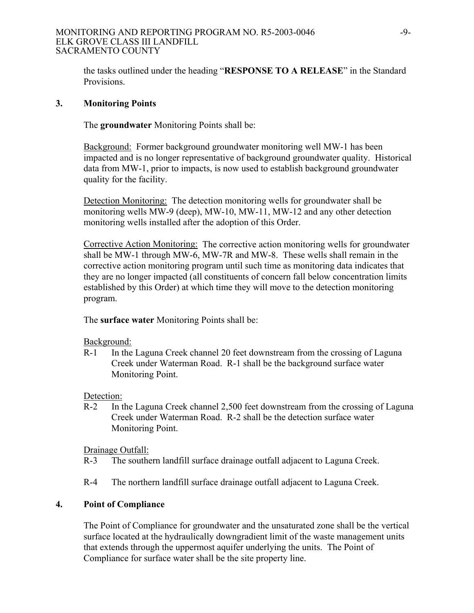#### MONITORING AND REPORTING PROGRAM NO. R5-2003-0046 -9- ELK GROVE CLASS III LANDFILL SACRAMENTO COUNTY

the tasks outlined under the heading "**RESPONSE TO A RELEASE**" in the Standard Provisions.

### **3. Monitoring Points**

The **groundwater** Monitoring Points shall be:

Background: Former background groundwater monitoring well MW-1 has been impacted and is no longer representative of background groundwater quality. Historical data from MW-1, prior to impacts, is now used to establish background groundwater quality for the facility.

Detection Monitoring: The detection monitoring wells for groundwater shall be monitoring wells MW-9 (deep), MW-10, MW-11, MW-12 and any other detection monitoring wells installed after the adoption of this Order.

Corrective Action Monitoring: The corrective action monitoring wells for groundwater shall be MW-1 through MW-6, MW-7R and MW-8. These wells shall remain in the corrective action monitoring program until such time as monitoring data indicates that they are no longer impacted (all constituents of concern fall below concentration limits established by this Order) at which time they will move to the detection monitoring program.

The **surface water** Monitoring Points shall be:

Background:

R-1 In the Laguna Creek channel 20 feet downstream from the crossing of Laguna Creek under Waterman Road. R-1 shall be the background surface water Monitoring Point.

Detection:

R-2 In the Laguna Creek channel 2,500 feet downstream from the crossing of Laguna Creek under Waterman Road. R-2 shall be the detection surface water Monitoring Point.

Drainage Outfall:

R-3 The southern landfill surface drainage outfall adjacent to Laguna Creek.

R-4 The northern landfill surface drainage outfall adjacent to Laguna Creek.

# **4. Point of Compliance**

The Point of Compliance for groundwater and the unsaturated zone shall be the vertical surface located at the hydraulically downgradient limit of the waste management units that extends through the uppermost aquifer underlying the units. The Point of Compliance for surface water shall be the site property line.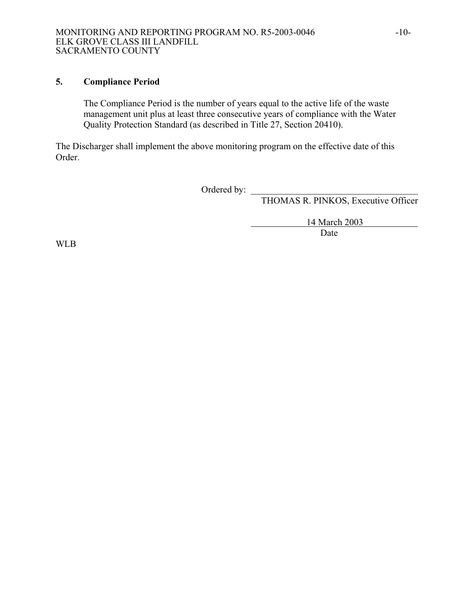# **5. Compliance Period**

The Compliance Period is the number of years equal to the active life of the waste management unit plus at least three consecutive years of compliance with the Water Quality Protection Standard (as described in Title 27, Section 20410).

The Discharger shall implement the above monitoring program on the effective date of this Order.

Ordered by:  $\qquad \qquad$ 

THOMAS R. PINKOS, Executive Officer

 14 March 2003 Date

WLB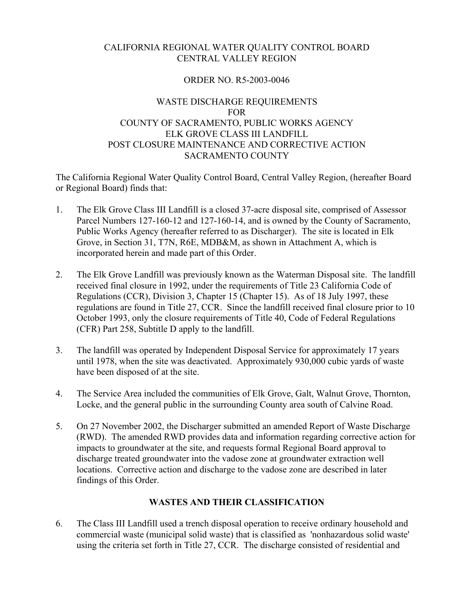# CALIFORNIA REGIONAL WATER QUALITY CONTROL BOARD CENTRAL VALLEY REGION

## ORDER NO. R5-2003-0046

# WASTE DISCHARGE REQUIREMENTS FOR COUNTY OF SACRAMENTO, PUBLIC WORKS AGENCY ELK GROVE CLASS III LANDFILL POST CLOSURE MAINTENANCE AND CORRECTIVE ACTION SACRAMENTO COUNTY

The California Regional Water Quality Control Board, Central Valley Region, (hereafter Board or Regional Board) finds that:

- 1. The Elk Grove Class III Landfill is a closed 37-acre disposal site, comprised of Assessor Parcel Numbers 127-160-12 and 127-160-14, and is owned by the County of Sacramento, Public Works Agency (hereafter referred to as Discharger). The site is located in Elk Grove, in Section 31, T7N, R6E, MDB&M, as shown in Attachment A, which is incorporated herein and made part of this Order.
- 2. The Elk Grove Landfill was previously known as the Waterman Disposal site. The landfill received final closure in 1992, under the requirements of Title 23 California Code of Regulations (CCR), Division 3, Chapter 15 (Chapter 15). As of 18 July 1997, these regulations are found in Title 27, CCR. Since the landfill received final closure prior to 10 October 1993, only the closure requirements of Title 40, Code of Federal Regulations (CFR) Part 258, Subtitle D apply to the landfill.
- 3. The landfill was operated by Independent Disposal Service for approximately 17 years until 1978, when the site was deactivated. Approximately 930,000 cubic yards of waste have been disposed of at the site.
- 4. The Service Area included the communities of Elk Grove, Galt, Walnut Grove, Thornton, Locke, and the general public in the surrounding County area south of Calvine Road.
- 5. On 27 November 2002, the Discharger submitted an amended Report of Waste Discharge (RWD). The amended RWD provides data and information regarding corrective action for impacts to groundwater at the site, and requests formal Regional Board approval to discharge treated groundwater into the vadose zone at groundwater extraction well locations. Corrective action and discharge to the vadose zone are described in later findings of this Order.

#### **WASTES AND THEIR CLASSIFICATION**

6. The Class III Landfill used a trench disposal operation to receive ordinary household and commercial waste (municipal solid waste) that is classified as 'nonhazardous solid waste' using the criteria set forth in Title 27, CCR. The discharge consisted of residential and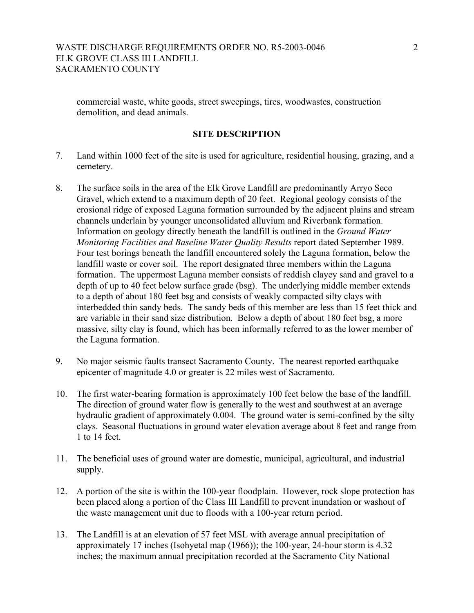commercial waste, white goods, street sweepings, tires, woodwastes, construction demolition, and dead animals.

## **SITE DESCRIPTION**

- 7. Land within 1000 feet of the site is used for agriculture, residential housing, grazing, and a cemetery.
- 8. The surface soils in the area of the Elk Grove Landfill are predominantly Arryo Seco Gravel, which extend to a maximum depth of 20 feet. Regional geology consists of the erosional ridge of exposed Laguna formation surrounded by the adjacent plains and stream channels underlain by younger unconsolidated alluvium and Riverbank formation. Information on geology directly beneath the landfill is outlined in the *Ground Water Monitoring Facilities and Baseline Water Quality Results* report dated September 1989. Four test borings beneath the landfill encountered solely the Laguna formation, below the landfill waste or cover soil. The report designated three members within the Laguna formation. The uppermost Laguna member consists of reddish clayey sand and gravel to a depth of up to 40 feet below surface grade (bsg). The underlying middle member extends to a depth of about 180 feet bsg and consists of weakly compacted silty clays with interbedded thin sandy beds. The sandy beds of this member are less than 15 feet thick and are variable in their sand size distribution. Below a depth of about 180 feet bsg, a more massive, silty clay is found, which has been informally referred to as the lower member of the Laguna formation.
- 9. No major seismic faults transect Sacramento County. The nearest reported earthquake epicenter of magnitude 4.0 or greater is 22 miles west of Sacramento.
- 10. The first water-bearing formation is approximately 100 feet below the base of the landfill. The direction of ground water flow is generally to the west and southwest at an average hydraulic gradient of approximately 0.004. The ground water is semi-confined by the silty clays. Seasonal fluctuations in ground water elevation average about 8 feet and range from 1 to 14 feet.
- 11. The beneficial uses of ground water are domestic, municipal, agricultural, and industrial supply.
- 12. A portion of the site is within the 100-year floodplain. However, rock slope protection has been placed along a portion of the Class III Landfill to prevent inundation or washout of the waste management unit due to floods with a 100-year return period.
- 13. The Landfill is at an elevation of 57 feet MSL with average annual precipitation of approximately 17 inches (Isohyetal map (1966)); the 100-year, 24-hour storm is 4.32 inches; the maximum annual precipitation recorded at the Sacramento City National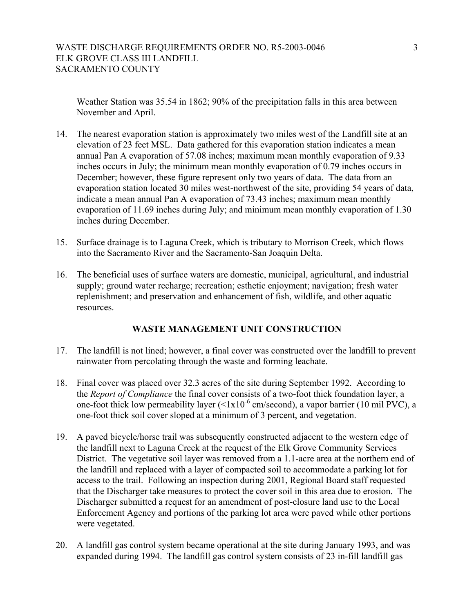Weather Station was 35.54 in 1862; 90% of the precipitation falls in this area between November and April.

- 14. The nearest evaporation station is approximately two miles west of the Landfill site at an elevation of 23 feet MSL. Data gathered for this evaporation station indicates a mean annual Pan A evaporation of 57.08 inches; maximum mean monthly evaporation of 9.33 inches occurs in July; the minimum mean monthly evaporation of 0.79 inches occurs in December; however, these figure represent only two years of data. The data from an evaporation station located 30 miles west-northwest of the site, providing 54 years of data, indicate a mean annual Pan A evaporation of 73.43 inches; maximum mean monthly evaporation of 11.69 inches during July; and minimum mean monthly evaporation of 1.30 inches during December.
- 15. Surface drainage is to Laguna Creek, which is tributary to Morrison Creek, which flows into the Sacramento River and the Sacramento-San Joaquin Delta.
- 16. The beneficial uses of surface waters are domestic, municipal, agricultural, and industrial supply; ground water recharge; recreation; esthetic enjoyment; navigation; fresh water replenishment; and preservation and enhancement of fish, wildlife, and other aquatic resources.

# **WASTE MANAGEMENT UNIT CONSTRUCTION**

- 17. The landfill is not lined; however, a final cover was constructed over the landfill to prevent rainwater from percolating through the waste and forming leachate.
- 18. Final cover was placed over 32.3 acres of the site during September 1992. According to the *Report of Compliance* the final cover consists of a two-foot thick foundation layer, a one-foot thick low permeability layer  $(<1x10^{-6}$  cm/second), a vapor barrier (10 mil PVC), a one-foot thick soil cover sloped at a minimum of 3 percent, and vegetation.
- 19. A paved bicycle/horse trail was subsequently constructed adjacent to the western edge of the landfill next to Laguna Creek at the request of the Elk Grove Community Services District. The vegetative soil layer was removed from a 1.1-acre area at the northern end of the landfill and replaced with a layer of compacted soil to accommodate a parking lot for access to the trail. Following an inspection during 2001, Regional Board staff requested that the Discharger take measures to protect the cover soil in this area due to erosion. The Discharger submitted a request for an amendment of post-closure land use to the Local Enforcement Agency and portions of the parking lot area were paved while other portions were vegetated.
- 20. A landfill gas control system became operational at the site during January 1993, and was expanded during 1994. The landfill gas control system consists of 23 in-fill landfill gas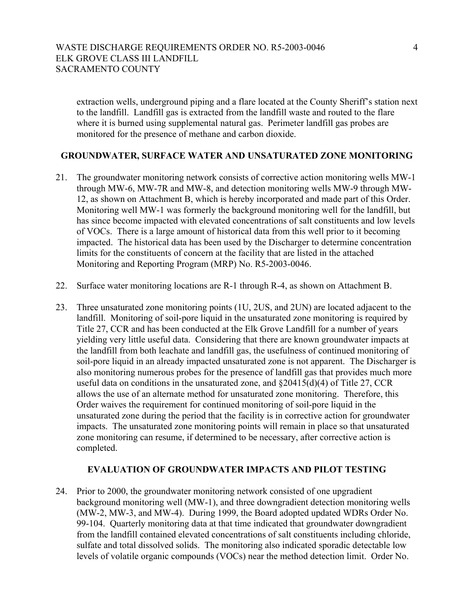extraction wells, underground piping and a flare located at the County Sheriff's station next to the landfill. Landfill gas is extracted from the landfill waste and routed to the flare where it is burned using supplemental natural gas. Perimeter landfill gas probes are monitored for the presence of methane and carbon dioxide.

## **GROUNDWATER, SURFACE WATER AND UNSATURATED ZONE MONITORING**

- 21. The groundwater monitoring network consists of corrective action monitoring wells MW-1 through MW-6, MW-7R and MW-8, and detection monitoring wells MW-9 through MW-12, as shown on Attachment B, which is hereby incorporated and made part of this Order. Monitoring well MW-1 was formerly the background monitoring well for the landfill, but has since become impacted with elevated concentrations of salt constituents and low levels of VOCs. There is a large amount of historical data from this well prior to it becoming impacted. The historical data has been used by the Discharger to determine concentration limits for the constituents of concern at the facility that are listed in the attached Monitoring and Reporting Program (MRP) No. R5-2003-0046.
- 22. Surface water monitoring locations are R-1 through R-4, as shown on Attachment B.
- 23. Three unsaturated zone monitoring points (1U, 2US, and 2UN) are located adjacent to the landfill. Monitoring of soil-pore liquid in the unsaturated zone monitoring is required by Title 27, CCR and has been conducted at the Elk Grove Landfill for a number of years yielding very little useful data. Considering that there are known groundwater impacts at the landfill from both leachate and landfill gas, the usefulness of continued monitoring of soil-pore liquid in an already impacted unsaturated zone is not apparent. The Discharger is also monitoring numerous probes for the presence of landfill gas that provides much more useful data on conditions in the unsaturated zone, and §20415(d)(4) of Title 27, CCR allows the use of an alternate method for unsaturated zone monitoring. Therefore, this Order waives the requirement for continued monitoring of soil-pore liquid in the unsaturated zone during the period that the facility is in corrective action for groundwater impacts. The unsaturated zone monitoring points will remain in place so that unsaturated zone monitoring can resume, if determined to be necessary, after corrective action is completed.

### **EVALUATION OF GROUNDWATER IMPACTS AND PILOT TESTING**

24. Prior to 2000, the groundwater monitoring network consisted of one upgradient background monitoring well (MW-1), and three downgradient detection monitoring wells (MW-2, MW-3, and MW-4). During 1999, the Board adopted updated WDRs Order No. 99-104. Quarterly monitoring data at that time indicated that groundwater downgradient from the landfill contained elevated concentrations of salt constituents including chloride, sulfate and total dissolved solids. The monitoring also indicated sporadic detectable low levels of volatile organic compounds (VOCs) near the method detection limit. Order No.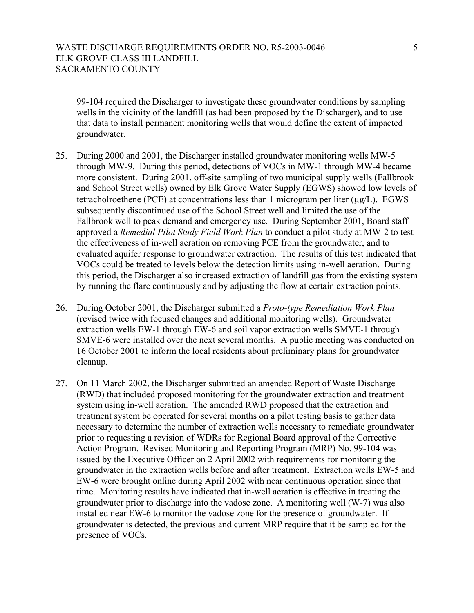99-104 required the Discharger to investigate these groundwater conditions by sampling wells in the vicinity of the landfill (as had been proposed by the Discharger), and to use that data to install permanent monitoring wells that would define the extent of impacted groundwater.

- 25. During 2000 and 2001, the Discharger installed groundwater monitoring wells MW-5 through MW-9. During this period, detections of VOCs in MW-1 through MW-4 became more consistent. During 2001, off-site sampling of two municipal supply wells (Fallbrook and School Street wells) owned by Elk Grove Water Supply (EGWS) showed low levels of tetracholroethene (PCE) at concentrations less than 1 microgram per liter  $(\mu g/L)$ . EGWS subsequently discontinued use of the School Street well and limited the use of the Fallbrook well to peak demand and emergency use. During September 2001, Board staff approved a *Remedial Pilot Study Field Work Plan* to conduct a pilot study at MW-2 to test the effectiveness of in-well aeration on removing PCE from the groundwater, and to evaluated aquifer response to groundwater extraction. The results of this test indicated that VOCs could be treated to levels below the detection limits using in-well aeration. During this period, the Discharger also increased extraction of landfill gas from the existing system by running the flare continuously and by adjusting the flow at certain extraction points.
- 26. During October 2001, the Discharger submitted a *Proto-type Remediation Work Plan* (revised twice with focused changes and additional monitoring wells). Groundwater extraction wells EW-1 through EW-6 and soil vapor extraction wells SMVE-1 through SMVE-6 were installed over the next several months. A public meeting was conducted on 16 October 2001 to inform the local residents about preliminary plans for groundwater cleanup.
- 27. On 11 March 2002, the Discharger submitted an amended Report of Waste Discharge (RWD) that included proposed monitoring for the groundwater extraction and treatment system using in-well aeration. The amended RWD proposed that the extraction and treatment system be operated for several months on a pilot testing basis to gather data necessary to determine the number of extraction wells necessary to remediate groundwater prior to requesting a revision of WDRs for Regional Board approval of the Corrective Action Program. Revised Monitoring and Reporting Program (MRP) No. 99-104 was issued by the Executive Officer on 2 April 2002 with requirements for monitoring the groundwater in the extraction wells before and after treatment. Extraction wells EW-5 and EW-6 were brought online during April 2002 with near continuous operation since that time. Monitoring results have indicated that in-well aeration is effective in treating the groundwater prior to discharge into the vadose zone. A monitoring well (W-7) was also installed near EW-6 to monitor the vadose zone for the presence of groundwater. If groundwater is detected, the previous and current MRP require that it be sampled for the presence of VOCs.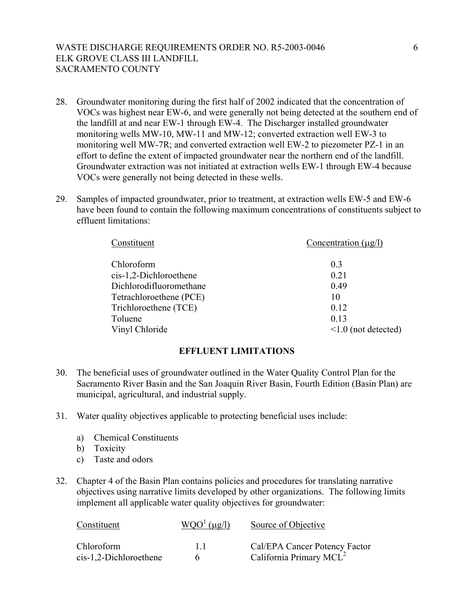# WASTE DISCHARGE REQUIREMENTS ORDER NO. R5-2003-0046 ELK GROVE CLASS III LANDFILL SACRAMENTO COUNTY

- 28. Groundwater monitoring during the first half of 2002 indicated that the concentration of VOCs was highest near EW-6, and were generally not being detected at the southern end of the landfill at and near EW-1 through EW-4. The Discharger installed groundwater monitoring wells MW-10, MW-11 and MW-12; converted extraction well EW-3 to monitoring well MW-7R; and converted extraction well EW-2 to piezometer PZ-1 in an effort to define the extent of impacted groundwater near the northern end of the landfill. Groundwater extraction was not initiated at extraction wells EW-1 through EW-4 because VOCs were generally not being detected in these wells.
- 29. Samples of impacted groundwater, prior to treatment, at extraction wells EW-5 and EW-6 have been found to contain the following maximum concentrations of constituents subject to effluent limitations:

| Constituent             | Concentration $(\mu g/l)$ |  |  |
|-------------------------|---------------------------|--|--|
| Chloroform              | 0 <sup>3</sup>            |  |  |
| cis-1,2-Dichloroethene  | 0.21                      |  |  |
| Dichlorodifluoromethane | 0.49                      |  |  |
| Tetrachloroethene (PCE) | 10                        |  |  |
| Trichloroethene (TCE)   | 0.12                      |  |  |
| Toluene                 | 0.13                      |  |  |
| Vinyl Chloride          | $\leq 1.0$ (not detected) |  |  |

### **EFFLUENT LIMITATIONS**

- 30. The beneficial uses of groundwater outlined in the Water Quality Control Plan for the Sacramento River Basin and the San Joaquin River Basin, Fourth Edition (Basin Plan) are municipal, agricultural, and industrial supply.
- 31. Water quality objectives applicable to protecting beneficial uses include:
	- a) Chemical Constituents
	- b) Toxicity
	- c) Taste and odors
- 32. Chapter 4 of the Basin Plan contains policies and procedures for translating narrative objectives using narrative limits developed by other organizations. The following limits implement all applicable water quality objectives for groundwater:

| Constituent                            | $WOO1$ (µg/l) | Source of Objective                                                  |
|----------------------------------------|---------------|----------------------------------------------------------------------|
| Chloroform<br>$cis-1,2-Dichloroethene$ | 11            | Cal/EPA Cancer Potency Factor<br>California Primary MCL <sup>2</sup> |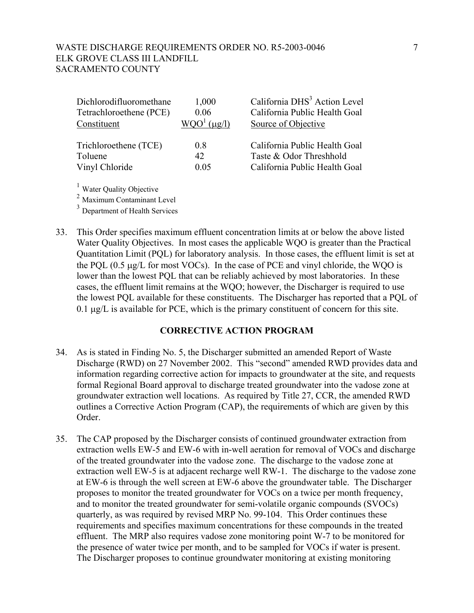| Dichlorodifluoromethane<br>Tetrachloroethene (PCE) | 1,000<br>0.06        | California DHS <sup>3</sup> Action Level<br>California Public Health Goal |
|----------------------------------------------------|----------------------|---------------------------------------------------------------------------|
| Constituent                                        | $(\mu \mathbf{g}/l)$ | Source of Objective                                                       |
| Trichloroethene (TCE)                              | 08                   | California Public Health Goal                                             |
| Toluene                                            | 42                   | Taste & Odor Threshhold                                                   |
| Vinyl Chloride                                     | 0.05                 | California Public Health Goal                                             |

<sup>2</sup> Maximum Contaminant Level

<sup>3</sup> Department of Health Services

33. This Order specifies maximum effluent concentration limits at or below the above listed Water Quality Objectives. In most cases the applicable WQO is greater than the Practical Quantitation Limit (PQL) for laboratory analysis. In those cases, the effluent limit is set at the PQL (0.5 µg/L for most VOCs). In the case of PCE and vinyl chloride, the WQO is lower than the lowest PQL that can be reliably achieved by most laboratories. In these cases, the effluent limit remains at the WQO; however, the Discharger is required to use the lowest PQL available for these constituents. The Discharger has reported that a PQL of 0.1 µg/L is available for PCE, which is the primary constituent of concern for this site.

#### **CORRECTIVE ACTION PROGRAM**

- 34. As is stated in Finding No. 5, the Discharger submitted an amended Report of Waste Discharge (RWD) on 27 November 2002. This "second" amended RWD provides data and information regarding corrective action for impacts to groundwater at the site, and requests formal Regional Board approval to discharge treated groundwater into the vadose zone at groundwater extraction well locations. As required by Title 27, CCR, the amended RWD outlines a Corrective Action Program (CAP), the requirements of which are given by this Order.
- 35. The CAP proposed by the Discharger consists of continued groundwater extraction from extraction wells EW-5 and EW-6 with in-well aeration for removal of VOCs and discharge of the treated groundwater into the vadose zone. The discharge to the vadose zone at extraction well EW-5 is at adjacent recharge well RW-1. The discharge to the vadose zone at EW-6 is through the well screen at EW-6 above the groundwater table. The Discharger proposes to monitor the treated groundwater for VOCs on a twice per month frequency, and to monitor the treated groundwater for semi-volatile organic compounds (SVOCs) quarterly, as was required by revised MRP No. 99-104. This Order continues these requirements and specifies maximum concentrations for these compounds in the treated effluent. The MRP also requires vadose zone monitoring point W-7 to be monitored for the presence of water twice per month, and to be sampled for VOCs if water is present. The Discharger proposes to continue groundwater monitoring at existing monitoring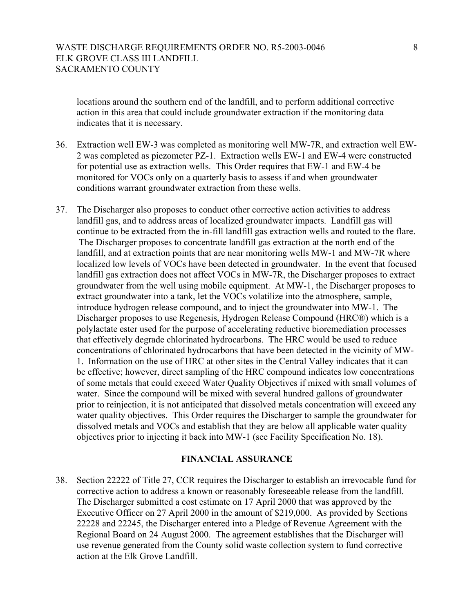locations around the southern end of the landfill, and to perform additional corrective action in this area that could include groundwater extraction if the monitoring data indicates that it is necessary.

- 36. Extraction well EW-3 was completed as monitoring well MW-7R, and extraction well EW-2 was completed as piezometer PZ-1. Extraction wells EW-1 and EW-4 were constructed for potential use as extraction wells. This Order requires that EW-1 and EW-4 be monitored for VOCs only on a quarterly basis to assess if and when groundwater conditions warrant groundwater extraction from these wells.
- 37. The Discharger also proposes to conduct other corrective action activities to address landfill gas, and to address areas of localized groundwater impacts. Landfill gas will continue to be extracted from the in-fill landfill gas extraction wells and routed to the flare. The Discharger proposes to concentrate landfill gas extraction at the north end of the landfill, and at extraction points that are near monitoring wells MW-1 and MW-7R where localized low levels of VOCs have been detected in groundwater. In the event that focused landfill gas extraction does not affect VOCs in MW-7R, the Discharger proposes to extract groundwater from the well using mobile equipment. At MW-1, the Discharger proposes to extract groundwater into a tank, let the VOCs volatilize into the atmosphere, sample, introduce hydrogen release compound, and to inject the groundwater into MW-1. The Discharger proposes to use Regenesis, Hydrogen Release Compound (HRC®) which is a polylactate ester used for the purpose of accelerating reductive bioremediation processes that effectively degrade chlorinated hydrocarbons. The HRC would be used to reduce concentrations of chlorinated hydrocarbons that have been detected in the vicinity of MW-1. Information on the use of HRC at other sites in the Central Valley indicates that it can be effective; however, direct sampling of the HRC compound indicates low concentrations of some metals that could exceed Water Quality Objectives if mixed with small volumes of water. Since the compound will be mixed with several hundred gallons of groundwater prior to reinjection, it is not anticipated that dissolved metals concentration will exceed any water quality objectives. This Order requires the Discharger to sample the groundwater for dissolved metals and VOCs and establish that they are below all applicable water quality objectives prior to injecting it back into MW-1 (see Facility Specification No. 18).

#### **FINANCIAL ASSURANCE**

38. Section 22222 of Title 27, CCR requires the Discharger to establish an irrevocable fund for corrective action to address a known or reasonably foreseeable release from the landfill. The Discharger submitted a cost estimate on 17 April 2000 that was approved by the Executive Officer on 27 April 2000 in the amount of \$219,000. As provided by Sections 22228 and 22245, the Discharger entered into a Pledge of Revenue Agreement with the Regional Board on 24 August 2000. The agreement establishes that the Discharger will use revenue generated from the County solid waste collection system to fund corrective action at the Elk Grove Landfill.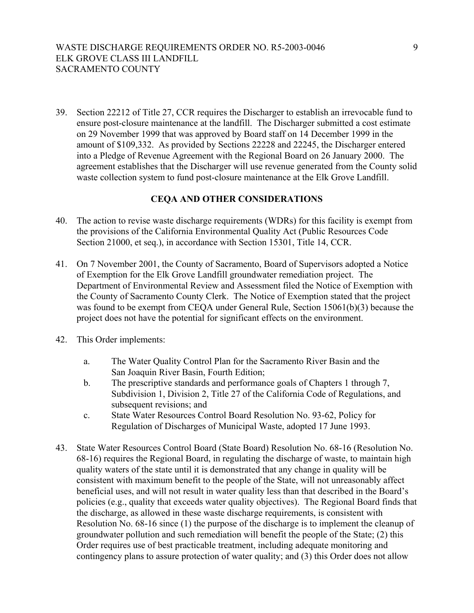39. Section 22212 of Title 27, CCR requires the Discharger to establish an irrevocable fund to ensure post-closure maintenance at the landfill. The Discharger submitted a cost estimate on 29 November 1999 that was approved by Board staff on 14 December 1999 in the amount of \$109,332. As provided by Sections 22228 and 22245, the Discharger entered into a Pledge of Revenue Agreement with the Regional Board on 26 January 2000. The agreement establishes that the Discharger will use revenue generated from the County solid waste collection system to fund post-closure maintenance at the Elk Grove Landfill.

## **CEQA AND OTHER CONSIDERATIONS**

- 40. The action to revise waste discharge requirements (WDRs) for this facility is exempt from the provisions of the California Environmental Quality Act (Public Resources Code Section 21000, et seq.), in accordance with Section 15301, Title 14, CCR.
- 41. On 7 November 2001, the County of Sacramento, Board of Supervisors adopted a Notice of Exemption for the Elk Grove Landfill groundwater remediation project. The Department of Environmental Review and Assessment filed the Notice of Exemption with the County of Sacramento County Clerk. The Notice of Exemption stated that the project was found to be exempt from CEQA under General Rule, Section 15061(b)(3) because the project does not have the potential for significant effects on the environment.
- 42. This Order implements:
	- a. The Water Quality Control Plan for the Sacramento River Basin and the San Joaquin River Basin, Fourth Edition;
	- b. The prescriptive standards and performance goals of Chapters 1 through 7, Subdivision 1, Division 2, Title 27 of the California Code of Regulations, and subsequent revisions; and
	- c. State Water Resources Control Board Resolution No. 93-62, Policy for Regulation of Discharges of Municipal Waste, adopted 17 June 1993.
- 43. State Water Resources Control Board (State Board) Resolution No. 68-16 (Resolution No. 68-16) requires the Regional Board, in regulating the discharge of waste, to maintain high quality waters of the state until it is demonstrated that any change in quality will be consistent with maximum benefit to the people of the State, will not unreasonably affect beneficial uses, and will not result in water quality less than that described in the Board's policies (e.g., quality that exceeds water quality objectives). The Regional Board finds that the discharge, as allowed in these waste discharge requirements, is consistent with Resolution No. 68-16 since (1) the purpose of the discharge is to implement the cleanup of groundwater pollution and such remediation will benefit the people of the State; (2) this Order requires use of best practicable treatment, including adequate monitoring and contingency plans to assure protection of water quality; and (3) this Order does not allow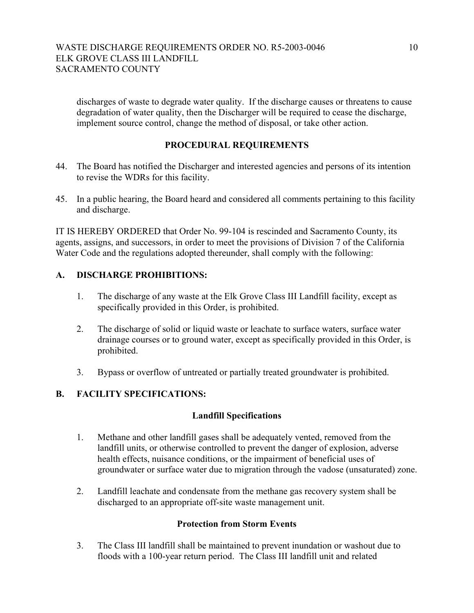discharges of waste to degrade water quality. If the discharge causes or threatens to cause degradation of water quality, then the Discharger will be required to cease the discharge, implement source control, change the method of disposal, or take other action.

# **PROCEDURAL REQUIREMENTS**

- 44. The Board has notified the Discharger and interested agencies and persons of its intention to revise the WDRs for this facility.
- 45. In a public hearing, the Board heard and considered all comments pertaining to this facility and discharge.

IT IS HEREBY ORDERED that Order No. 99-104 is rescinded and Sacramento County, its agents, assigns, and successors, in order to meet the provisions of Division 7 of the California Water Code and the regulations adopted thereunder, shall comply with the following:

# **A. DISCHARGE PROHIBITIONS:**

- 1. The discharge of any waste at the Elk Grove Class III Landfill facility, except as specifically provided in this Order, is prohibited.
- 2. The discharge of solid or liquid waste or leachate to surface waters, surface water drainage courses or to ground water, except as specifically provided in this Order, is prohibited.
- 3. Bypass or overflow of untreated or partially treated groundwater is prohibited.

# **B. FACILITY SPECIFICATIONS:**

# **Landfill Specifications**

- 1. Methane and other landfill gases shall be adequately vented, removed from the landfill units, or otherwise controlled to prevent the danger of explosion, adverse health effects, nuisance conditions, or the impairment of beneficial uses of groundwater or surface water due to migration through the vadose (unsaturated) zone.
- 2. Landfill leachate and condensate from the methane gas recovery system shall be discharged to an appropriate off-site waste management unit.

#### **Protection from Storm Events**

3. The Class III landfill shall be maintained to prevent inundation or washout due to floods with a 100-year return period. The Class III landfill unit and related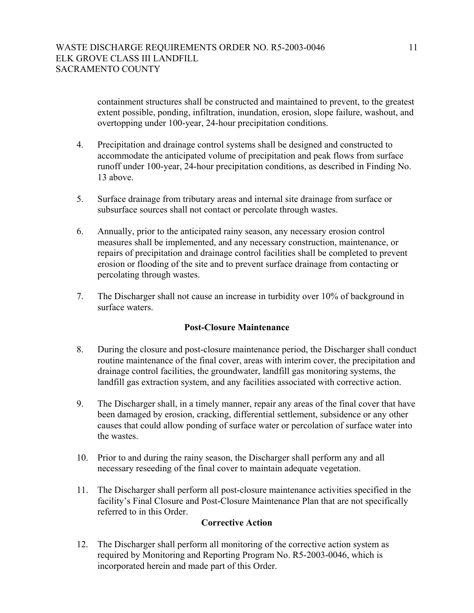containment structures shall be constructed and maintained to prevent, to the greatest extent possible, ponding, infiltration, inundation, erosion, slope failure, washout, and overtopping under 100-year, 24-hour precipitation conditions.

- 4. Precipitation and drainage control systems shall be designed and constructed to accommodate the anticipated volume of precipitation and peak flows from surface runoff under 100-year, 24-hour precipitation conditions, as described in Finding No. 13 above.
- 5. Surface drainage from tributary areas and internal site drainage from surface or subsurface sources shall not contact or percolate through wastes.
- 6. Annually, prior to the anticipated rainy season, any necessary erosion control measures shall be implemented, and any necessary construction, maintenance, or repairs of precipitation and drainage control facilities shall be completed to prevent erosion or flooding of the site and to prevent surface drainage from contacting or percolating through wastes.
- 7. The Discharger shall not cause an increase in turbidity over 10% of background in surface waters.

# **Post-Closure Maintenance**

- 8. During the closure and post-closure maintenance period, the Discharger shall conduct routine maintenance of the final cover, areas with interim cover, the precipitation and drainage control facilities, the groundwater, landfill gas monitoring systems, the landfill gas extraction system, and any facilities associated with corrective action.
- 9. The Discharger shall, in a timely manner, repair any areas of the final cover that have been damaged by erosion, cracking, differential settlement, subsidence or any other causes that could allow ponding of surface water or percolation of surface water into the wastes.
- 10. Prior to and during the rainy season, the Discharger shall perform any and all necessary reseeding of the final cover to maintain adequate vegetation.
- 11. The Discharger shall perform all post-closure maintenance activities specified in the facility's Final Closure and Post-Closure Maintenance Plan that are not specifically referred to in this Order.

#### **Corrective Action**

12. The Discharger shall perform all monitoring of the corrective action system as required by Monitoring and Reporting Program No. R5-2003-0046, which is incorporated herein and made part of this Order.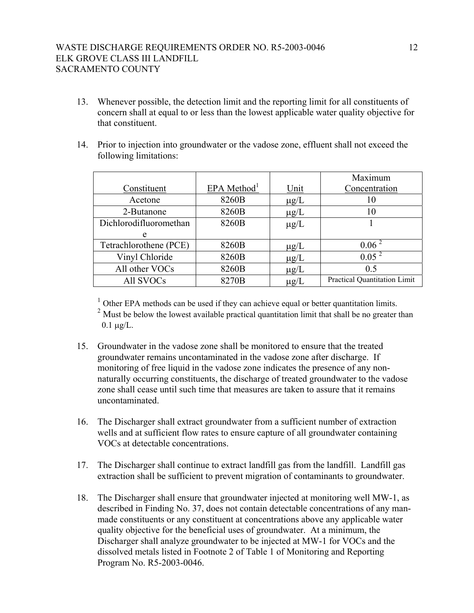- 13. Whenever possible, the detection limit and the reporting limit for all constituents of concern shall at equal to or less than the lowest applicable water quality objective for that constituent.
- 14. Prior to injection into groundwater or the vadose zone, effluent shall not exceed the following limitations:

|                        |                           |             | Maximum                      |
|------------------------|---------------------------|-------------|------------------------------|
| Constituent            | $EPA$ Method <sup>1</sup> | <u>Unit</u> | Concentration                |
| Acetone                | 8260B                     | $\mu$ g/L   | 10                           |
| 2-Butanone             | 8260B                     | $\mu$ g/L   | 10                           |
| Dichlorodifluoromethan | 8260B                     | $\mu$ g/L   |                              |
| e                      |                           |             |                              |
| Tetrachlorothene (PCE) | 8260B                     | $\mu$ g/L   | 0.06 <sup>2</sup>            |
| Vinyl Chloride         | 8260B                     | $\mu g/L$   | 0.05 <sup>2</sup>            |
| All other VOCs         | 8260B                     | $\mu g/L$   | 0.5                          |
| All SVOCs              | 8270B                     | $\mu$ g/L   | Practical Quantitation Limit |

 $1$  Other EPA methods can be used if they can achieve equal or better quantitation limits. <sup>2</sup> Must be below the lowest available practical quantitation limit that shall be no greater than  $0.1 \mu g/L$ .

- 15. Groundwater in the vadose zone shall be monitored to ensure that the treated groundwater remains uncontaminated in the vadose zone after discharge. If monitoring of free liquid in the vadose zone indicates the presence of any nonnaturally occurring constituents, the discharge of treated groundwater to the vadose zone shall cease until such time that measures are taken to assure that it remains uncontaminated.
- 16. The Discharger shall extract groundwater from a sufficient number of extraction wells and at sufficient flow rates to ensure capture of all groundwater containing VOCs at detectable concentrations.
- 17. The Discharger shall continue to extract landfill gas from the landfill. Landfill gas extraction shall be sufficient to prevent migration of contaminants to groundwater.
- 18. The Discharger shall ensure that groundwater injected at monitoring well MW-1, as described in Finding No. 37, does not contain detectable concentrations of any manmade constituents or any constituent at concentrations above any applicable water quality objective for the beneficial uses of groundwater. At a minimum, the Discharger shall analyze groundwater to be injected at MW-1 for VOCs and the dissolved metals listed in Footnote 2 of Table 1 of Monitoring and Reporting Program No. R5-2003-0046.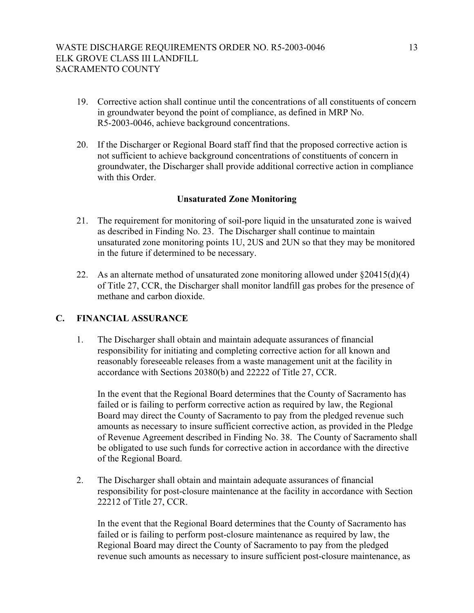- 19. Corrective action shall continue until the concentrations of all constituents of concern in groundwater beyond the point of compliance, as defined in MRP No. R5-2003-0046, achieve background concentrations.
- 20. If the Discharger or Regional Board staff find that the proposed corrective action is not sufficient to achieve background concentrations of constituents of concern in groundwater, the Discharger shall provide additional corrective action in compliance with this Order.

# **Unsaturated Zone Monitoring**

- 21. The requirement for monitoring of soil-pore liquid in the unsaturated zone is waived as described in Finding No. 23. The Discharger shall continue to maintain unsaturated zone monitoring points 1U, 2US and 2UN so that they may be monitored in the future if determined to be necessary.
- 22. As an alternate method of unsaturated zone monitoring allowed under §20415(d)(4) of Title 27, CCR, the Discharger shall monitor landfill gas probes for the presence of methane and carbon dioxide.

# **C. FINANCIAL ASSURANCE**

1. The Discharger shall obtain and maintain adequate assurances of financial responsibility for initiating and completing corrective action for all known and reasonably foreseeable releases from a waste management unit at the facility in accordance with Sections 20380(b) and 22222 of Title 27, CCR.

In the event that the Regional Board determines that the County of Sacramento has failed or is failing to perform corrective action as required by law, the Regional Board may direct the County of Sacramento to pay from the pledged revenue such amounts as necessary to insure sufficient corrective action, as provided in the Pledge of Revenue Agreement described in Finding No. 38. The County of Sacramento shall be obligated to use such funds for corrective action in accordance with the directive of the Regional Board.

2. The Discharger shall obtain and maintain adequate assurances of financial responsibility for post-closure maintenance at the facility in accordance with Section 22212 of Title 27, CCR.

In the event that the Regional Board determines that the County of Sacramento has failed or is failing to perform post-closure maintenance as required by law, the Regional Board may direct the County of Sacramento to pay from the pledged revenue such amounts as necessary to insure sufficient post-closure maintenance, as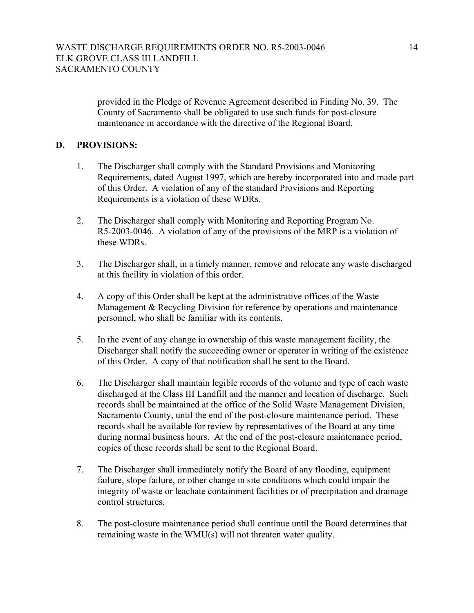provided in the Pledge of Revenue Agreement described in Finding No. 39. The County of Sacramento shall be obligated to use such funds for post-closure maintenance in accordance with the directive of the Regional Board.

# **D. PROVISIONS:**

- 1. The Discharger shall comply with the Standard Provisions and Monitoring Requirements, dated August 1997, which are hereby incorporated into and made part of this Order. A violation of any of the standard Provisions and Reporting Requirements is a violation of these WDRs.
- 2. The Discharger shall comply with Monitoring and Reporting Program No. R5-2003-0046. A violation of any of the provisions of the MRP is a violation of these WDRs.
- 3. The Discharger shall, in a timely manner, remove and relocate any waste discharged at this facility in violation of this order.
- 4. A copy of this Order shall be kept at the administrative offices of the Waste Management & Recycling Division for reference by operations and maintenance personnel, who shall be familiar with its contents.
- 5. In the event of any change in ownership of this waste management facility, the Discharger shall notify the succeeding owner or operator in writing of the existence of this Order. A copy of that notification shall be sent to the Board.
- 6. The Discharger shall maintain legible records of the volume and type of each waste discharged at the Class III Landfill and the manner and location of discharge. Such records shall be maintained at the office of the Solid Waste Management Division, Sacramento County, until the end of the post-closure maintenance period. These records shall be available for review by representatives of the Board at any time during normal business hours. At the end of the post-closure maintenance period, copies of these records shall be sent to the Regional Board.
- 7. The Discharger shall immediately notify the Board of any flooding, equipment failure, slope failure, or other change in site conditions which could impair the integrity of waste or leachate containment facilities or of precipitation and drainage control structures.
- 8. The post-closure maintenance period shall continue until the Board determines that remaining waste in the WMU(s) will not threaten water quality.